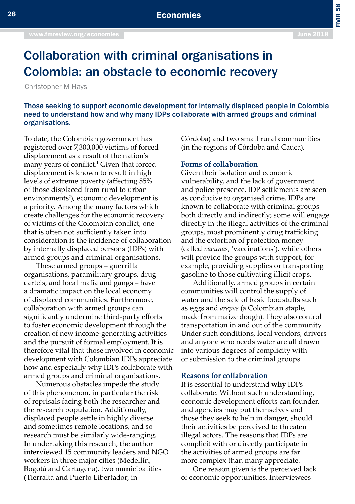FMR 58

# Collaboration with criminal organisations in Colombia: an obstacle to economic recovery

Christopher M Hays

Those seeking to support economic development for internally displaced people in Colombia need to understand how and why many IDPs collaborate with armed groups and criminal organisations.

To date, the Colombian government has registered over 7,300,000 victims of forced displacement as a result of the nation's many years of conflict.<sup>1</sup> Given that forced displacement is known to result in high levels of extreme poverty (affecting 85% of those displaced from rural to urban environments<sup>2</sup>), economic development is a priority. Among the many factors which create challenges for the economic recovery of victims of the Colombian conflict, one that is often not sufficiently taken into consideration is the incidence of collaboration by internally displaced persons (IDPs) with armed groups and criminal organisations.

These armed groups – guerrilla organisations, paramilitary groups, drug cartels, and local mafia and gangs – have a dramatic impact on the local economy of displaced communities. Furthermore, collaboration with armed groups can significantly undermine third-party efforts to foster economic development through the creation of new income-generating activities and the pursuit of formal employment. It is therefore vital that those involved in economic development with Colombian IDPs appreciate how and especially why IDPs collaborate with armed groups and criminal organisations.

Numerous obstacles impede the study of this phenomenon, in particular the risk of reprisals facing both the researcher and the research population. Additionally, displaced people settle in highly diverse and sometimes remote locations, and so research must be similarly wide-ranging. In undertaking this research, the author interviewed 15 community leaders and NGO workers in three major cities (Medellín, Bogotá and Cartagena), two municipalities (Tierralta and Puerto Libertador, in

Córdoba) and two small rural communities (in the regions of Córdoba and Cauca).

### **Forms of collaboration**

Given their isolation and economic vulnerability, and the lack of government and police presence, IDP settlements are seen as conducive to organised crime. IDPs are known to collaborate with criminal groups both directly and indirectly; some will engage directly in the illegal activities of the criminal groups, most prominently drug trafficking and the extortion of protection money (called *vacunas*, 'vaccinations'), while others will provide the groups with support, for example, providing supplies or transporting gasoline to those cultivating illicit crops.

Additionally, armed groups in certain communities will control the supply of water and the sale of basic foodstuffs such as eggs and *arepas* (a Colombian staple, made from maize dough). They also control transportation in and out of the community. Under such conditions, local vendors, drivers and anyone who needs water are all drawn into various degrees of complicity with or submission to the criminal groups.

### **Reasons for collaboration**

It is essential to understand **why** IDPs collaborate. Without such understanding, economic development efforts can founder, and agencies may put themselves and those they seek to help in danger, should their activities be perceived to threaten illegal actors. The reasons that IDPs are complicit with or directly participate in the activities of armed groups are far more complex than many appreciate.

One reason given is the perceived lack of economic opportunities. Interviewees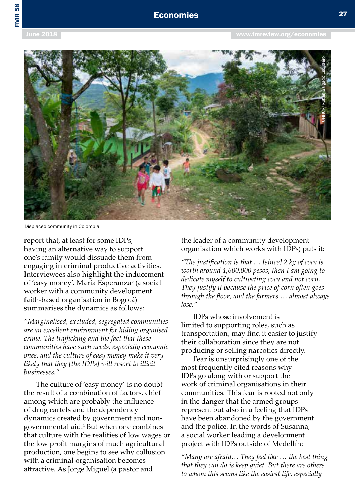

Displaced community in Colombia.

report that, at least for some IDPs, having an alternative way to support one's family would dissuade them from engaging in criminal productive activities. Interviewees also highlight the inducement of 'easy money'. María Esperanza<sup>3</sup> (a social worker with a community development faith-based organisation in Bogotá) summarises the dynamics as follows:

*"Marginalised, excluded, segregated communities are an excellent environment for hiding organised crime. The trafficking and the fact that these communities have such needs, especially economic ones, and the culture of easy money make it very likely that they [the IDPs] will resort to illicit businesses."*

The culture of 'easy money' is no doubt the result of a combination of factors, chief among which are probably the influence of drug cartels and the dependency dynamics created by government and nongovernmental aid.4 But when one combines that culture with the realities of low wages or the low profit margins of much agricultural production, one begins to see why collusion with a criminal organisation becomes attractive. As Jorge Miguel (a pastor and

the leader of a community development organisation which works with IDPs) puts it:

*"The justification is that … [since] 2 kg of coca is worth around 4,600,000 pesos, then I am going to dedicate myself to cultivating coca and not corn. They justify it because the price of corn often goes through the floor, and the farmers … almost always lose."* 

IDPs whose involvement is limited to supporting roles, such as transportation, may find it easier to justify their collaboration since they are not producing or selling narcotics directly.

Fear is unsurprisingly one of the most frequently cited reasons why IDPs go along with or support the work of criminal organisations in their communities. This fear is rooted not only in the danger that the armed groups represent but also in a feeling that IDPs have been abandoned by the government and the police. In the words of Susanna, a social worker leading a development project with IDPs outside of Medellín:

*"Many are afraid… They feel like … the best thing that they can do is keep quiet. But there are others to whom this seems like the easiest life, especially*